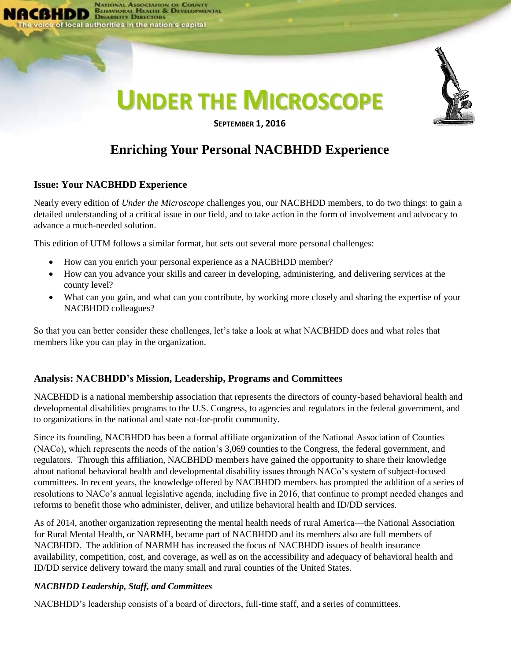

# **Enriching Your Personal NACBHDD Experience**

### **Issue: Your NACBHDD Experience**

Nearly every edition of *Under the Microscope* challenges you, our NACBHDD members, to do two things: to gain a detailed understanding of a critical issue in our field, and to take action in the form of involvement and advocacy to advance a much-needed solution.

This edition of UTM follows a similar format, but sets out several more personal challenges:

- How can you enrich your personal experience as a NACBHDD member?
- How can you advance your skills and career in developing, administering, and delivering services at the county level?
- What can you gain, and what can you contribute, by working more closely and sharing the expertise of your NACBHDD colleagues?

So that you can better consider these challenges, let's take a look at what NACBHDD does and what roles that members like you can play in the organization.

# **Analysis: NACBHDD's Mission, Leadership, Programs and Committees**

NACBHDD is a national membership association that represents the directors of county-based behavioral health and developmental disabilities programs to the U.S. Congress, to agencies and regulators in the federal government, and to organizations in the national and state not-for-profit community.

Since its founding, NACBHDD has been a formal affiliate organization of the National Association of Counties (NACo), which represents the needs of the nation's 3,069 counties to the Congress, the federal government, and regulators. Through this affiliation, NACBHDD members have gained the opportunity to share their knowledge about national behavioral health and developmental disability issues through NACo's system of subject-focused committees. In recent years, the knowledge offered by NACBHDD members has prompted the addition of a series of resolutions to NACo's annual legislative agenda, including five in 2016, that continue to prompt needed changes and reforms to benefit those who administer, deliver, and utilize behavioral health and ID/DD services.

As of 2014, another organization representing the mental health needs of rural America—the National Association for Rural Mental Health, or NARMH, became part of NACBHDD and its members also are full members of NACBHDD. The addition of NARMH has increased the focus of NACBHDD issues of health insurance availability, competition, cost, and coverage, as well as on the accessibility and adequacy of behavioral health and ID/DD service delivery toward the many small and rural counties of the United States.

#### *NACBHDD Leadership, Staff, and Committees*

NACBHDD's leadership consists of a board of directors, full-time staff, and a series of committees.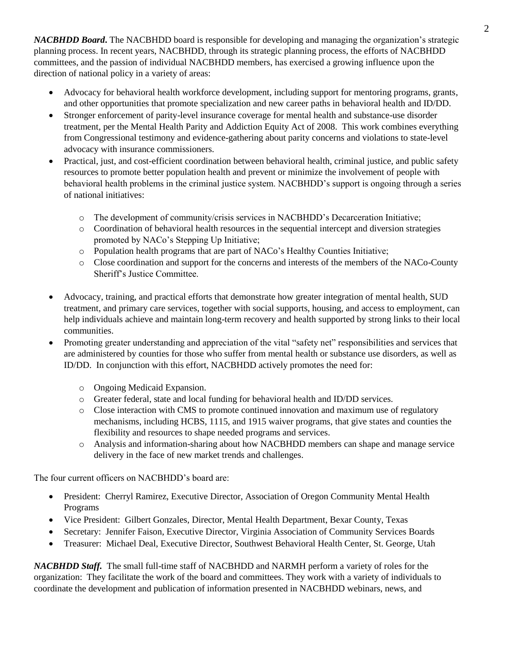*NACBHDD Board***.** The NACBHDD board is responsible for developing and managing the organization's strategic planning process. In recent years, NACBHDD, through its strategic planning process, the efforts of NACBHDD committees, and the passion of individual NACBHDD members, has exercised a growing influence upon the direction of national policy in a variety of areas:

- Advocacy for behavioral health workforce development, including support for mentoring programs, grants, and other opportunities that promote specialization and new career paths in behavioral health and ID/DD.
- Stronger enforcement of parity-level insurance coverage for mental health and substance-use disorder treatment, per the Mental Health Parity and Addiction Equity Act of 2008. This work combines everything from Congressional testimony and evidence-gathering about parity concerns and violations to state-level advocacy with insurance commissioners.
- Practical, just, and cost-efficient coordination between behavioral health, criminal justice, and public safety resources to promote better population health and prevent or minimize the involvement of people with behavioral health problems in the criminal justice system. NACBHDD's support is ongoing through a series of national initiatives:
	- o The development of community/crisis services in NACBHDD's Decarceration Initiative;
	- o Coordination of behavioral health resources in the sequential intercept and diversion strategies promoted by NACo's Stepping Up Initiative;
	- o Population health programs that are part of NACo's Healthy Counties Initiative;
	- o Close coordination and support for the concerns and interests of the members of the NACo-County Sheriff's Justice Committee.
- Advocacy, training, and practical efforts that demonstrate how greater integration of mental health, SUD treatment, and primary care services, together with social supports, housing, and access to employment, can help individuals achieve and maintain long-term recovery and health supported by strong links to their local communities.
- Promoting greater understanding and appreciation of the vital "safety net" responsibilities and services that are administered by counties for those who suffer from mental health or substance use disorders, as well as ID/DD. In conjunction with this effort, NACBHDD actively promotes the need for:
	- o Ongoing Medicaid Expansion.
	- o Greater federal, state and local funding for behavioral health and ID/DD services.
	- o Close interaction with CMS to promote continued innovation and maximum use of regulatory mechanisms, including HCBS, 1115, and 1915 waiver programs, that give states and counties the flexibility and resources to shape needed programs and services.
	- o Analysis and information-sharing about how NACBHDD members can shape and manage service delivery in the face of new market trends and challenges.

The four current officers on NACBHDD's board are:

- President: Cherryl Ramirez, Executive Director, Association of Oregon Community Mental Health Programs
- Vice President: Gilbert Gonzales, Director, Mental Health Department, Bexar County, Texas
- Secretary: Jennifer Faison, Executive Director, Virginia Association of Community Services Boards
- Treasurer: Michael Deal, Executive Director, Southwest Behavioral Health Center, St. George, Utah

*NACBHDD Staff.* The small full-time staff of NACBHDD and NARMH perform a variety of roles for the organization: They facilitate the work of the board and committees. They work with a variety of individuals to coordinate the development and publication of information presented in NACBHDD webinars, news, and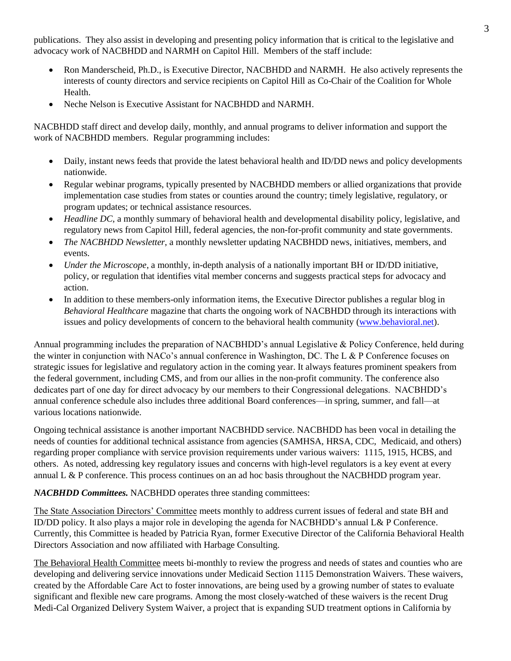publications. They also assist in developing and presenting policy information that is critical to the legislative and advocacy work of NACBHDD and NARMH on Capitol Hill. Members of the staff include:

- Ron Manderscheid, Ph.D., is Executive Director, NACBHDD and NARMH. He also actively represents the interests of county directors and service recipients on Capitol Hill as Co-Chair of the Coalition for Whole Health.
- Neche Nelson is Executive Assistant for NACBHDD and NARMH.

NACBHDD staff direct and develop daily, monthly, and annual programs to deliver information and support the work of NACBHDD members. Regular programming includes:

- Daily, instant news feeds that provide the latest behavioral health and ID/DD news and policy developments nationwide.
- Regular webinar programs, typically presented by NACBHDD members or allied organizations that provide implementation case studies from states or counties around the country; timely legislative, regulatory, or program updates; or technical assistance resources.
- *Headline DC*, a monthly summary of behavioral health and developmental disability policy, legislative, and regulatory news from Capitol Hill, federal agencies, the non-for-profit community and state governments.
- *The NACBHDD Newsletter*, a monthly newsletter updating NACBHDD news, initiatives, members, and events.
- *Under the Microscope*, a monthly, in-depth analysis of a nationally important BH or ID/DD initiative, policy, or regulation that identifies vital member concerns and suggests practical steps for advocacy and action.
- In addition to these members-only information items, the Executive Director publishes a regular blog in *Behavioral Healthcare* magazine that charts the ongoing work of NACBHDD through its interactions with issues and policy developments of concern to the behavioral health community [\(www.behavioral.net\)](http://www.behavioral.net/).

Annual programming includes the preparation of NACBHDD's annual Legislative & Policy Conference, held during the winter in conjunction with NACo's annual conference in Washington, DC. The L & P Conference focuses on strategic issues for legislative and regulatory action in the coming year. It always features prominent speakers from the federal government, including CMS, and from our allies in the non-profit community. The conference also dedicates part of one day for direct advocacy by our members to their Congressional delegations. NACBHDD's annual conference schedule also includes three additional Board conferences—in spring, summer, and fall—at various locations nationwide.

Ongoing technical assistance is another important NACBHDD service. NACBHDD has been vocal in detailing the needs of counties for additional technical assistance from agencies (SAMHSA, HRSA, CDC, Medicaid, and others) regarding proper compliance with service provision requirements under various waivers: 1115, 1915, HCBS, and others. As noted, addressing key regulatory issues and concerns with high-level regulators is a key event at every annual L & P conference. This process continues on an ad hoc basis throughout the NACBHDD program year.

# *NACBHDD Committees.* NACBHDD operates three standing committees:

The State Association Directors' Committee meets monthly to address current issues of federal and state BH and ID/DD policy. It also plays a major role in developing the agenda for NACBHDD's annual L& P Conference. Currently, this Committee is headed by Patricia Ryan, former Executive Director of the California Behavioral Health Directors Association and now affiliated with Harbage Consulting.

The Behavioral Health Committee meets bi-monthly to review the progress and needs of states and counties who are developing and delivering service innovations under Medicaid Section 1115 Demonstration Waivers. These waivers, created by the Affordable Care Act to foster innovations, are being used by a growing number of states to evaluate significant and flexible new care programs. Among the most closely-watched of these waivers is the recent Drug Medi-Cal Organized Delivery System Waiver, a project that is expanding SUD treatment options in California by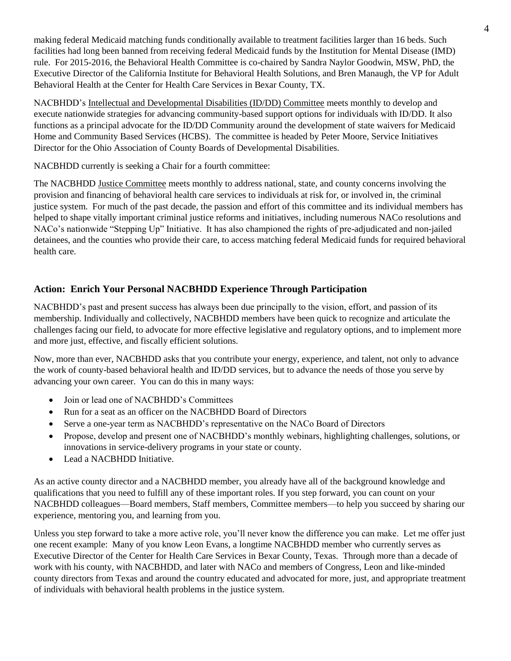making federal Medicaid matching funds conditionally available to treatment facilities larger than 16 beds. Such facilities had long been banned from receiving federal Medicaid funds by the Institution for Mental Disease (IMD) rule. For 2015-2016, the Behavioral Health Committee is co-chaired by Sandra Naylor Goodwin, MSW, PhD, the Executive Director of the California Institute for Behavioral Health Solutions, and Bren Manaugh, the VP for Adult Behavioral Health at the Center for Health Care Services in Bexar County, TX.

NACBHDD's Intellectual and Developmental Disabilities (ID/DD) Committee meets monthly to develop and execute nationwide strategies for advancing community-based support options for individuals with ID/DD. It also functions as a principal advocate for the ID/DD Community around the development of state waivers for Medicaid Home and Community Based Services (HCBS). The committee is headed by Peter Moore, Service Initiatives Director for the Ohio Association of County Boards of Developmental Disabilities.

NACBHDD currently is seeking a Chair for a fourth committee:

The NACBHDD Justice Committee meets monthly to address national, state, and county concerns involving the provision and financing of behavioral health care services to individuals at risk for, or involved in, the criminal justice system. For much of the past decade, the passion and effort of this committee and its individual members has helped to shape vitally important criminal justice reforms and initiatives, including numerous NACo resolutions and NACo's nationwide "Stepping Up" Initiative. It has also championed the rights of pre-adjudicated and non-jailed detainees, and the counties who provide their care, to access matching federal Medicaid funds for required behavioral health care.

# **Action: Enrich Your Personal NACBHDD Experience Through Participation**

NACBHDD's past and present success has always been due principally to the vision, effort, and passion of its membership. Individually and collectively, NACBHDD members have been quick to recognize and articulate the challenges facing our field, to advocate for more effective legislative and regulatory options, and to implement more and more just, effective, and fiscally efficient solutions.

Now, more than ever, NACBHDD asks that you contribute your energy, experience, and talent, not only to advance the work of county-based behavioral health and ID/DD services, but to advance the needs of those you serve by advancing your own career. You can do this in many ways:

- Join or lead one of NACBHDD's Committees
- Run for a seat as an officer on the NACBHDD Board of Directors
- Serve a one-year term as NACBHDD's representative on the NACo Board of Directors
- Propose, develop and present one of NACBHDD's monthly webinars, highlighting challenges, solutions, or innovations in service-delivery programs in your state or county.
- Lead a NACBHDD Initiative.

As an active county director and a NACBHDD member, you already have all of the background knowledge and qualifications that you need to fulfill any of these important roles. If you step forward, you can count on your NACBHDD colleagues—Board members, Staff members, Committee members—to help you succeed by sharing our experience, mentoring you, and learning from you.

Unless you step forward to take a more active role, you'll never know the difference you can make. Let me offer just one recent example: Many of you know Leon Evans, a longtime NACBHDD member who currently serves as Executive Director of the Center for Health Care Services in Bexar County, Texas. Through more than a decade of work with his county, with NACBHDD, and later with NACo and members of Congress, Leon and like-minded county directors from Texas and around the country educated and advocated for more, just, and appropriate treatment of individuals with behavioral health problems in the justice system.